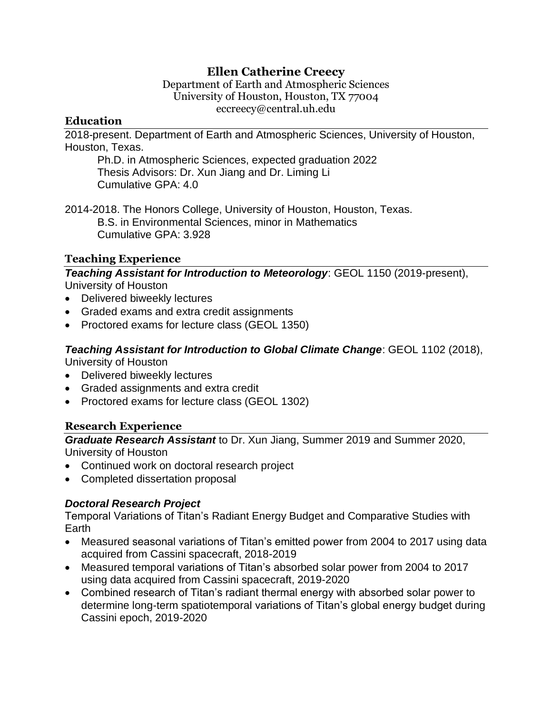# **Ellen Catherine Creecy**

Department of Earth and Atmospheric Sciences University of Houston, Houston, TX 77004 eccreecy@central.uh.edu

### **Education**

2018-present. Department of Earth and Atmospheric Sciences, University of Houston, Houston, Texas.

Ph.D. in Atmospheric Sciences, expected graduation 2022 Thesis Advisors: Dr. Xun Jiang and Dr. Liming Li Cumulative GPA: 4.0

2014-2018. The Honors College, University of Houston, Houston, Texas. B.S. in Environmental Sciences, minor in Mathematics Cumulative GPA: 3.928

## **Teaching Experience**

*Teaching Assistant for Introduction to Meteorology*: GEOL 1150 (2019-present), University of Houston

- Delivered biweekly lectures
- Graded exams and extra credit assignments
- Proctored exams for lecture class (GEOL 1350)

*Teaching Assistant for Introduction to Global Climate Change*: GEOL 1102 (2018), University of Houston

- Delivered biweekly lectures
- Graded assignments and extra credit
- Proctored exams for lecture class (GEOL 1302)

## **Research Experience**

*Graduate Research Assistant* to Dr. Xun Jiang, Summer 2019 and Summer 2020, University of Houston

- Continued work on doctoral research project
- Completed dissertation proposal

## *Doctoral Research Project*

Temporal Variations of Titan's Radiant Energy Budget and Comparative Studies with Earth

- Measured seasonal variations of Titan's emitted power from 2004 to 2017 using data acquired from Cassini spacecraft, 2018-2019
- Measured temporal variations of Titan's absorbed solar power from 2004 to 2017 using data acquired from Cassini spacecraft, 2019-2020
- Combined research of Titan's radiant thermal energy with absorbed solar power to determine long-term spatiotemporal variations of Titan's global energy budget during Cassini epoch, 2019-2020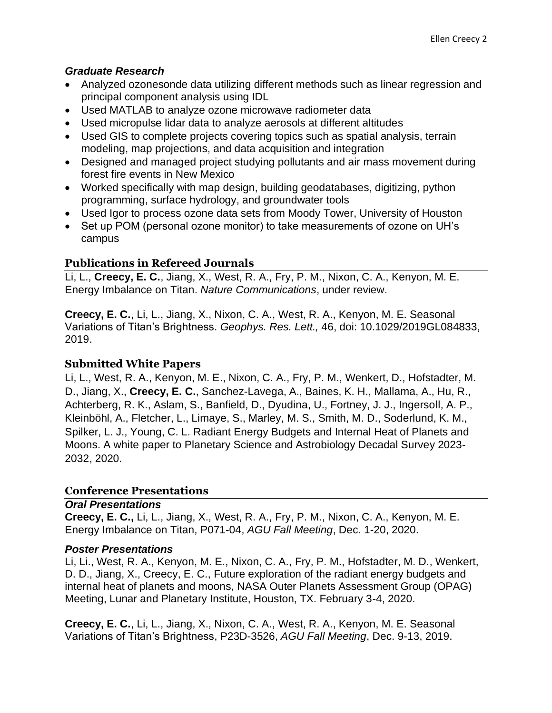### *Graduate Research*

- Analyzed ozonesonde data utilizing different methods such as linear regression and principal component analysis using IDL
- Used MATLAB to analyze ozone microwave radiometer data
- Used micropulse lidar data to analyze aerosols at different altitudes
- Used GIS to complete projects covering topics such as spatial analysis, terrain modeling, map projections, and data acquisition and integration
- Designed and managed project studying pollutants and air mass movement during forest fire events in New Mexico
- Worked specifically with map design, building geodatabases, digitizing, python programming, surface hydrology, and groundwater tools
- Used Igor to process ozone data sets from Moody Tower, University of Houston
- Set up POM (personal ozone monitor) to take measurements of ozone on UH's campus

## **Publications in Refereed Journals**

Li, L., **Creecy, E. C.**, Jiang, X., West, R. A., Fry, P. M., Nixon, C. A., Kenyon, M. E. Energy Imbalance on Titan. *Nature Communications*, under review.

**Creecy, E. C.**, Li, L., Jiang, X., Nixon, C. A., West, R. A., Kenyon, M. E. Seasonal Variations of Titan's Brightness. *Geophys. Res. Lett.,* 46, doi: 10.1029/2019GL084833, 2019.

## **Submitted White Papers**

Li, L., West, R. A., Kenyon, M. E., Nixon, C. A., Fry, P. M., Wenkert, D., Hofstadter, M. D., Jiang, X., **Creecy, E. C.**, Sanchez-Lavega, A., Baines, K. H., Mallama, A., Hu, R., Achterberg, R. K., Aslam, S., Banfield, D., Dyudina, U., Fortney, J. J., Ingersoll, A. P., Kleinböhl, A., Fletcher, L., Limaye, S., Marley, M. S., Smith, M. D., Soderlund, K. M., Spilker, L. J., Young, C. L. Radiant Energy Budgets and Internal Heat of Planets and Moons. A white paper to Planetary Science and Astrobiology Decadal Survey 2023- 2032, 2020.

#### **Conference Presentations**

#### *Oral Presentations*

**Creecy, E. C.,** Li, L., Jiang, X., West, R. A., Fry, P. M., Nixon, C. A., Kenyon, M. E. Energy Imbalance on Titan, P071-04, *AGU Fall Meeting*, Dec. 1-20, 2020.

#### *Poster Presentations*

Li, Li., West, R. A., Kenyon, M. E., Nixon, C. A., Fry, P. M., Hofstadter, M. D., Wenkert, D. D., Jiang, X., Creecy, E. C., Future exploration of the radiant energy budgets and internal heat of planets and moons, NASA Outer Planets Assessment Group (OPAG) Meeting, Lunar and Planetary Institute, Houston, TX. February 3-4, 2020.

**Creecy, E. C.**, Li, L., Jiang, X., Nixon, C. A., West, R. A., Kenyon, M. E. Seasonal Variations of Titan's Brightness, P23D-3526, *AGU Fall Meeting*, Dec. 9-13, 2019.